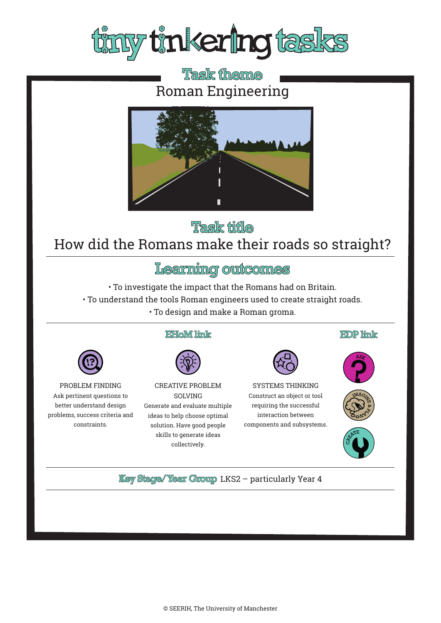

# Task theme Roman Engineering



## Task title How did the Romans make their roads so straight?

## Learning outcomes

• To investigate the impact that the Romans had on Britain.

- To understand the tools Roman engineers used to create straight roads.
	- To design and make a Roman groma.

### **EHoM link**



PROBLEM FINDING Ask pertinent questions to better understand design problems, success criteria and constraints.



CREATIVE PROBLEM SOLVING Generate and evaluate multiple ideas to help choose optimal solution. Have good people skills to generate ideas collectively.



SYSTEMS THINKING Construct an object or tool requiring the successful interaction between components and subsystems.









**Key Stage/Year Group LKS2 - particularly Year 4**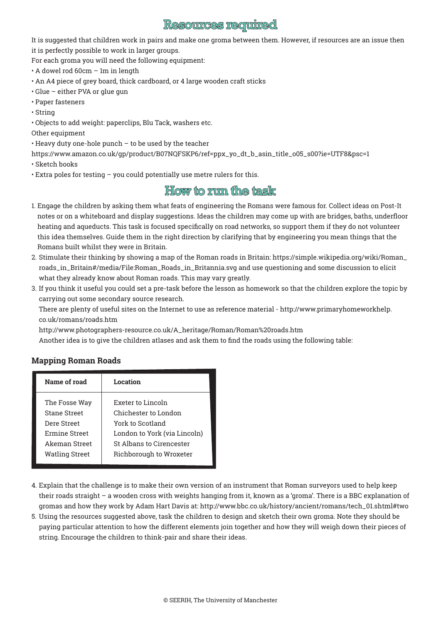### **Resources required**

It is suggested that children work in pairs and make one groma between them. However, if resources are an issue then it is perfectly possible to work in larger groups.

For each groma you will need the following equipment:

• A dowel rod 60cm – 1m in length

- An A4 piece of grey board, thick cardboard, or 4 large wooden craft sticks
- Glue either PVA or glue gun
- Paper fasteners
- String
- Objects to add weight: paperclips, Blu Tack, washers etc.

Other equipment

• Heavy duty one-hole punch – to be used by the teacher

https://www.amazon.co.uk/gp/product/B07NQFSKP6/ref=ppx\_yo\_dt\_b\_asin\_title\_o05\_s00?ie=UTF8&psc=1

• Sketch books

• Extra poles for testing – you could potentially use metre rulers for this.

## **How to mun the task**

- 1. Engage the children by asking them what feats of engineering the Romans were famous for. Collect ideas on Post-It notes or on a whiteboard and display suggestions. Ideas the children may come up with are bridges, baths, underfloor heating and aqueducts. This task is focused specifically on road networks, so support them if they do not volunteer this idea themselves. Guide them in the right direction by clarifying that by engineering you mean things that the Romans built whilst they were in Britain.
- 2. Stimulate their thinking by showing a map of the Roman roads in Britain: https://simple.wikipedia.org/wiki/Roman\_ roads\_in\_Britain#/media/File:Roman\_Roads\_in\_Britannia.svg and use questioning and some discussion to elicit what they already know about Roman roads. This may vary greatly.
- 3. If you think it useful you could set a pre-task before the lesson as homework so that the children explore the topic by carrying out some secondary source research.

There are plenty of useful sites on the Internet to use as reference material - http://www.primaryhomeworkhelp. co.uk/romans/roads.htm

http://www.photographers-resource.co.uk/A\_heritage/Roman/Roman%20roads.htm

Another idea is to give the children atlases and ask them to find the roads using the following table:

#### **Mapping Roman Roads**

| Exeter to Lincoln<br>Chichester to London |
|-------------------------------------------|
| York to Scotland                          |
| London to York (via Lincoln)              |
| St Albans to Cirencester                  |
| Richborough to Wroxeter                   |
|                                           |

- 4. Explain that the challenge is to make their own version of an instrument that Roman surveyors used to help keep their roads straight – a wooden cross with weights hanging from it, known as a 'groma'. There is a BBC explanation of gromas and how they work by Adam Hart Davis at: http://www.bbc.co.uk/history/ancient/romans/tech\_01.shtml#two
- 5. Using the resources suggested above, task the children to design and sketch their own groma. Note they should be paying particular attention to how the different elements join together and how they will weigh down their pieces of string. Encourage the children to think-pair and share their ideas.